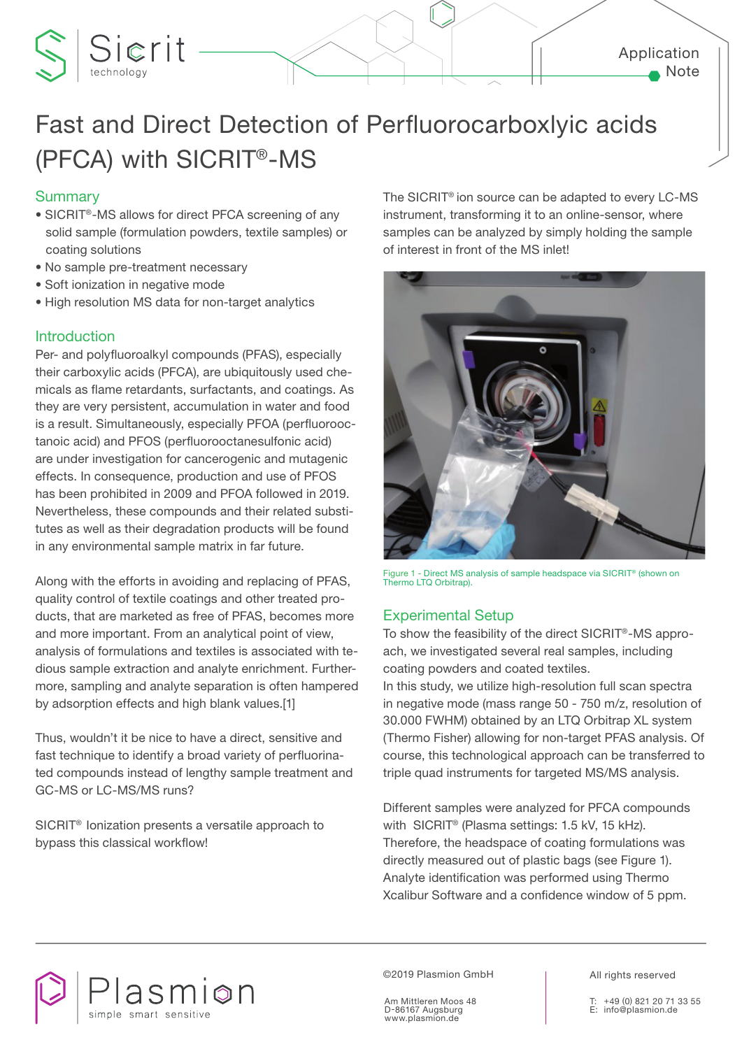## Application Note

# Fast and Direct Detection of Perfluorocarboxlyic acids (PFCA) with SICRIT®-MS

## **Summary**

- SICRIT®-MS allows for direct PFCA screening of any solid sample (formulation powders, textile samples) or coating solutions
- No sample pre-treatment necessary
- Soft ionization in negative mode

Sierit

• High resolution MS data for non-target analytics

## Introduction

Per- and polyfluoroalkyl compounds (PFAS), especially their carboxylic acids (PFCA), are ubiquitously used chemicals as flame retardants, surfactants, and coatings. As they are very persistent, accumulation in water and food is a result. Simultaneously, especially PFOA (perfluorooctanoic acid) and PFOS (perfluorooctanesulfonic acid) are under investigation for cancerogenic and mutagenic effects. In consequence, production and use of PFOS has been prohibited in 2009 and PFOA followed in 2019. Nevertheless, these compounds and their related substitutes as well as their degradation products will be found in any environmental sample matrix in far future.

Along with the efforts in avoiding and replacing of PFAS, quality control of textile coatings and other treated products, that are marketed as free of PFAS, becomes more and more important. From an analytical point of view, analysis of formulations and textiles is associated with tedious sample extraction and analyte enrichment. Furthermore, sampling and analyte separation is often hampered by adsorption effects and high blank values.[1]

Thus, wouldn't it be nice to have a direct, sensitive and fast technique to identify a broad variety of perfluorinated compounds instead of lengthy sample treatment and GC-MS or LC-MS/MS runs?

SICRIT® Ionization presents a versatile approach to bypass this classical workflow!

The SICRIT® ion source can be adapted to every LC-MS instrument, transforming it to an online-sensor, where samples can be analyzed by simply holding the sample of interest in front of the MS inlet!



Figure 1 - Direct MS analysis of sample headspace via SICRIT® (shown on Thermo LTQ Orbitrap).

## Experimental Setup

To show the feasibility of the direct SICRIT®-MS approach, we investigated several real samples, including coating powders and coated textiles.

In this study, we utilize high-resolution full scan spectra in negative mode (mass range 50 - 750 m/z, resolution of 30.000 FWHM) obtained by an LTQ Orbitrap XL system (Thermo Fisher) allowing for non-target PFAS analysis. Of course, this technological approach can be transferred to triple quad instruments for targeted MS/MS analysis.

Different samples were analyzed for PFCA compounds with SICRIT® (Plasma settings: 1.5 kV, 15 kHz). Therefore, the headspace of coating formulations was directly measured out of plastic bags (see Figure 1). Analyte identification was performed using Thermo Xcalibur Software and a confidence window of 5 ppm.



©2019 Plasmion GmbH

Am Mittleren Moos 48 D-86167 Augsburg www.plasmion.de

All rights reserved

+49 (0) 821 20 71 33 55 E: info@plasmion.de